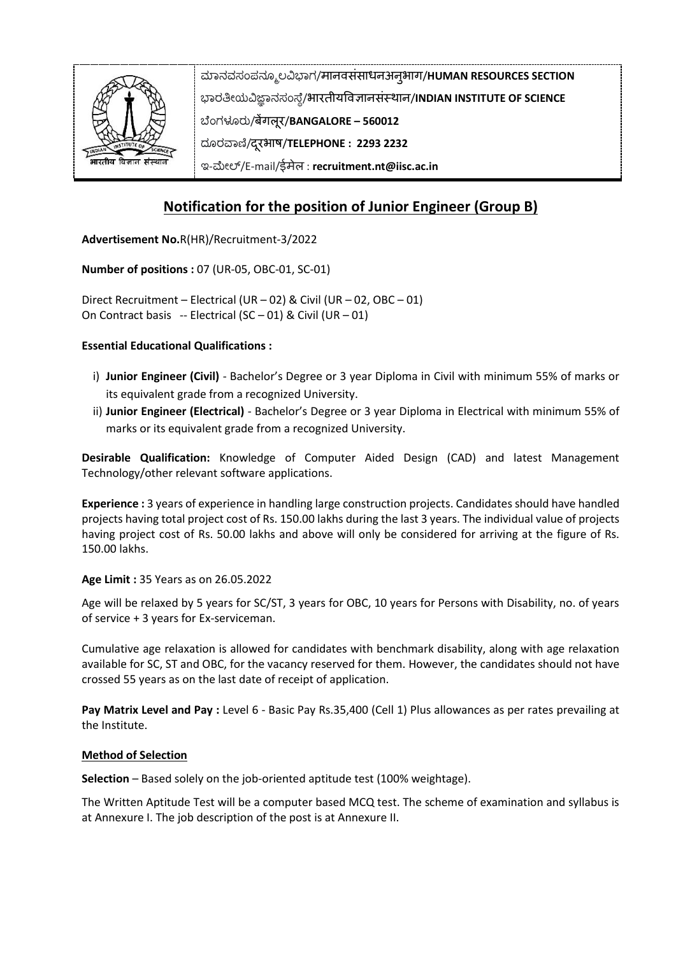

# **Notification for the position of Junior Engineer (Group B)**

**Advertisement No.**R(HR)/Recruitment-3/2022

**Number of positions :** 07 (UR-05, OBC-01, SC-01)

Direct Recruitment – Electrical (UR – 02) & Civil (UR – 02, OBC – 01) On Contract basis -- Electrical (SC – 01) & Civil (UR – 01)

### **Essential Educational Qualifications :**

- i) **Junior Engineer (Civil)** Bachelor's Degree or 3 year Diploma in Civil with minimum 55% of marks or its equivalent grade from a recognized University.
- ii) **Junior Engineer (Electrical)** Bachelor's Degree or 3 year Diploma in Electrical with minimum 55% of marks or its equivalent grade from a recognized University.

**Desirable Qualification:** Knowledge of Computer Aided Design (CAD) and latest Management Technology/other relevant software applications.

**Experience :** 3 years of experience in handling large construction projects. Candidates should have handled projects having total project cost of Rs. 150.00 lakhs during the last 3 years. The individual value of projects having project cost of Rs. 50.00 lakhs and above will only be considered for arriving at the figure of Rs. 150.00 lakhs.

**Age Limit :** 35 Years as on 26.05.2022

Age will be relaxed by 5 years for SC/ST, 3 years for OBC, 10 years for Persons with Disability, no. of years of service + 3 years for Ex-serviceman.

Cumulative age relaxation is allowed for candidates with benchmark disability, along with age relaxation available for SC, ST and OBC, for the vacancy reserved for them. However, the candidates should not have crossed 55 years as on the last date of receipt of application.

**Pay Matrix Level and Pay :** Level 6 - Basic Pay Rs.35,400 (Cell 1) Plus allowances as per rates prevailing at the Institute.

#### **Method of Selection**

**Selection** – Based solely on the job-oriented aptitude test (100% weightage).

The Written Aptitude Test will be a computer based MCQ test. The scheme of examination and syllabus is at Annexure I. The job description of the post is at Annexure II.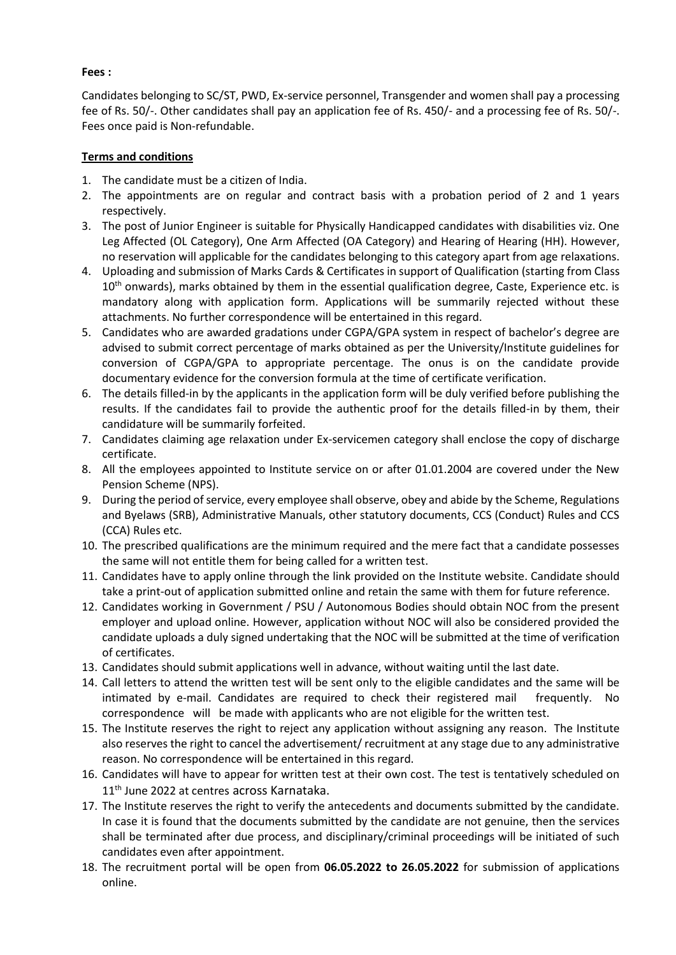## **Fees :**

Candidates belonging to SC/ST, PWD, Ex-service personnel, Transgender and women shall pay a processing fee of Rs. 50/-. Other candidates shall pay an application fee of Rs. 450/- and a processing fee of Rs. 50/-. Fees once paid is Non-refundable.

## **Terms and conditions**

- 1. The candidate must be a citizen of India.
- 2. The appointments are on regular and contract basis with a probation period of 2 and 1 years respectively.
- 3. The post of Junior Engineer is suitable for Physically Handicapped candidates with disabilities viz. One Leg Affected (OL Category), One Arm Affected (OA Category) and Hearing of Hearing (HH). However, no reservation will applicable for the candidates belonging to this category apart from age relaxations.
- 4. Uploading and submission of Marks Cards & Certificates in support of Qualification (starting from Class 10<sup>th</sup> onwards), marks obtained by them in the essential qualification degree, Caste, Experience etc. is mandatory along with application form. Applications will be summarily rejected without these attachments. No further correspondence will be entertained in this regard.
- 5. Candidates who are awarded gradations under CGPA/GPA system in respect of bachelor's degree are advised to submit correct percentage of marks obtained as per the University/Institute guidelines for conversion of CGPA/GPA to appropriate percentage. The onus is on the candidate provide documentary evidence for the conversion formula at the time of certificate verification.
- 6. The details filled-in by the applicants in the application form will be duly verified before publishing the results. If the candidates fail to provide the authentic proof for the details filled-in by them, their candidature will be summarily forfeited.
- 7. Candidates claiming age relaxation under Ex-servicemen category shall enclose the copy of discharge certificate.
- 8. All the employees appointed to Institute service on or after 01.01.2004 are covered under the New Pension Scheme (NPS).
- 9. During the period of service, every employee shall observe, obey and abide by the Scheme, Regulations and Byelaws (SRB), Administrative Manuals, other statutory documents, CCS (Conduct) Rules and CCS (CCA) Rules etc.
- 10. The prescribed qualifications are the minimum required and the mere fact that a candidate possesses the same will not entitle them for being called for a written test.
- 11. Candidates have to apply online through the link provided on the Institute website. Candidate should take a print-out of application submitted online and retain the same with them for future reference.
- 12. Candidates working in Government / PSU / Autonomous Bodies should obtain NOC from the present employer and upload online. However, application without NOC will also be considered provided the candidate uploads a duly signed undertaking that the NOC will be submitted at the time of verification of certificates.
- 13. Candidates should submit applications well in advance, without waiting until the last date.
- 14. Call letters to attend the written test will be sent only to the eligible candidates and the same will be intimated by e-mail. Candidates are required to check their registered mail frequently. No correspondence will be made with applicants who are not eligible for the written test.
- 15. The Institute reserves the right to reject any application without assigning any reason. The Institute also reserves the right to cancel the advertisement/ recruitment at any stage due to any administrative reason. No correspondence will be entertained in this regard.
- 16. Candidates will have to appear for written test at their own cost. The test is tentatively scheduled on 11<sup>th</sup> June 2022 at centres across Karnataka.
- 17. The Institute reserves the right to verify the antecedents and documents submitted by the candidate. In case it is found that the documents submitted by the candidate are not genuine, then the services shall be terminated after due process, and disciplinary/criminal proceedings will be initiated of such candidates even after appointment.
- 18. The recruitment portal will be open from **06.05.2022 to 26.05.2022** for submission of applications online.